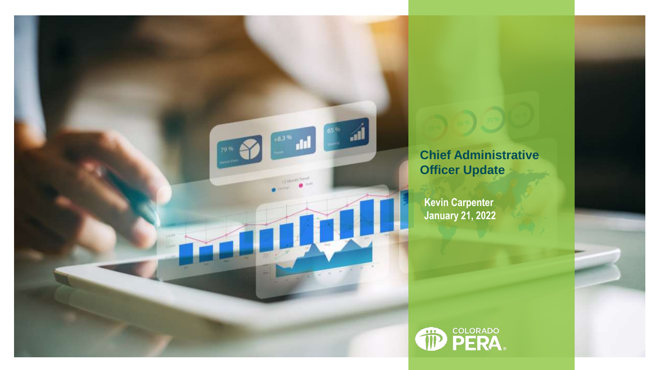

## **Chief Administrative Officer Update**

**Kevin Carpenter January 21, 2022**

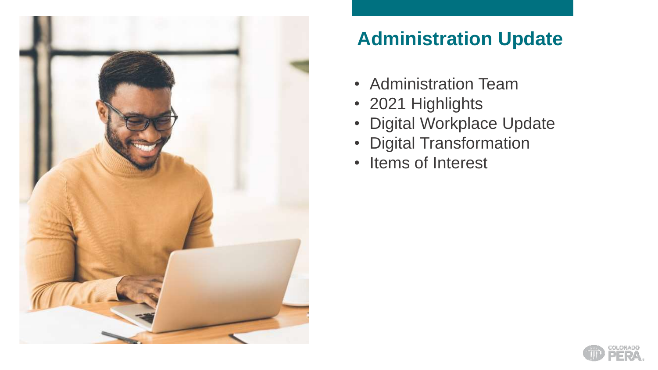

## **Administration Update**

- Administration Team
- 2021 Highlights
- Digital Workplace Update
- Digital Transformation
- Items of Interest

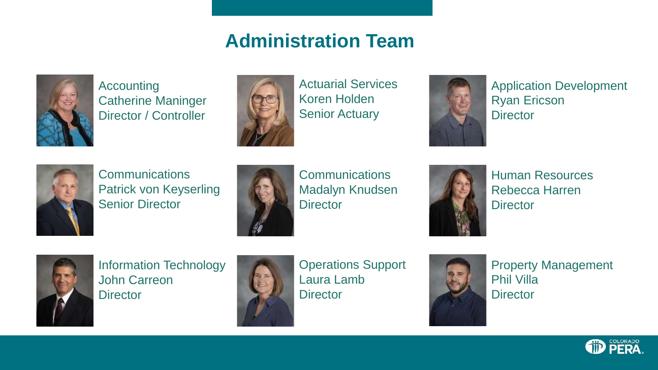### **Administration Team**



Accounting Catherine Maninger Director / Controller



Actuarial Services Koren Holden Senior Actuary



Application Development Ryan Ericson **Director** 



**Communications** Patrick von Keyserling Senior Director



**Communications** Madalyn Knudsen **Director** 



Human Resources Rebecca Harren **Director** 



Information Technology John Carreon **Director** 



Operations Support Laura Lamb **Director** 



Property Management Phil Villa **Director** 

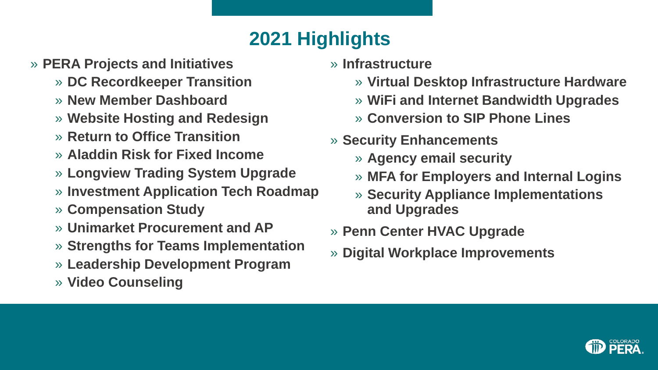# **2021 Highlights**

- » **PERA Projects and Initiatives**
	- » **DC Recordkeeper Transition**
	- » **New Member Dashboard**
	- » **Website Hosting and Redesign**
	- » **Return to Office Transition**
	- » **Aladdin Risk for Fixed Income**
	- » **Longview Trading System Upgrade**
	- » **Investment Application Tech Roadmap**
	- » **Compensation Study**
	- » **Unimarket Procurement and AP**
	- » **Strengths for Teams Implementation**
	- » **Leadership Development Program**
	- » **Video Counseling**
- » **Infrastructure**
	- » **Virtual Desktop Infrastructure Hardware**
	- » **WiFi and Internet Bandwidth Upgrades**
	- » **Conversion to SIP Phone Lines**
- » **Security Enhancements**
	- » **Agency email security**
	- » **MFA for Employers and Internal Logins**
	- » **Security Appliance Implementations and Upgrades**
- » **Penn Center HVAC Upgrade**
- » **Digital Workplace Improvements**

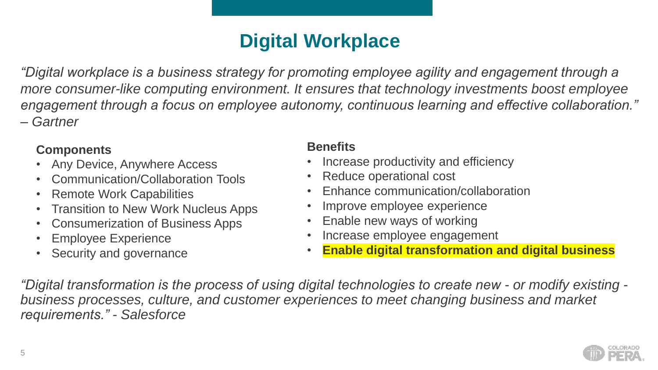## **Digital Workplace**

*"Digital workplace is a business strategy for promoting employee agility and engagement through a more consumer-like computing environment. It ensures that technology investments boost employee engagement through a focus on employee autonomy, continuous learning and effective collaboration." – Gartner*

#### **Components**

- Any Device, Anywhere Access
- Communication/Collaboration Tools
- Remote Work Capabilities
- Transition to New Work Nucleus Apps
- Consumerization of Business Apps
- Employee Experience
- Security and governance

#### **Benefits**

- Increase productivity and efficiency
- Reduce operational cost
- Enhance communication/collaboration
- Improve employee experience
- Enable new ways of working
- Increase employee engagement
- **Enable digital transformation and digital business**

*"Digital transformation is the process of using digital technologies to create new - or modify existing business processes, culture, and customer experiences to meet changing business and market requirements." - Salesforce*

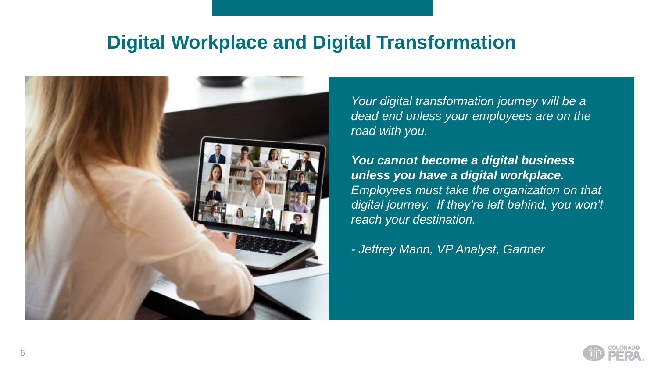### **Digital Workplace and Digital Transformation**



*Your digital transformation journey will be a dead end unless your employees are on the road with you.*

*You cannot become a digital business unless you have a digital workplace. Employees must take the organization on that digital journey. If they're left behind, you won't reach your destination.*

*- Jeffrey Mann, VP Analyst, Gartner*

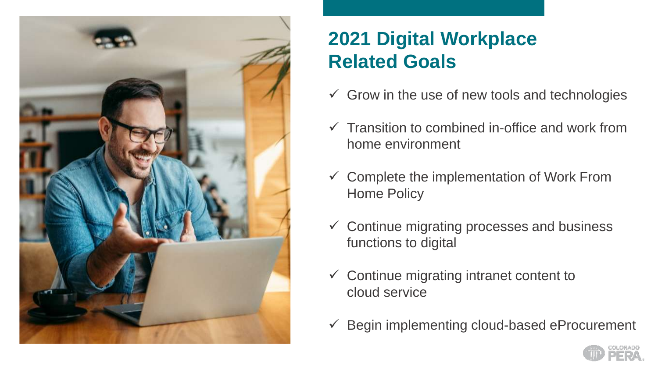

# **2021 Digital Workplace Related Goals**

- $\checkmark$  Grow in the use of new tools and technologies
- $\checkmark$  Transition to combined in-office and work from home environment
- $\checkmark$  Complete the implementation of Work From Home Policy
- $\checkmark$  Continue migrating processes and business functions to digital
- $\checkmark$  Continue migrating intranet content to cloud service
- $\checkmark$  Begin implementing cloud-based eProcurement

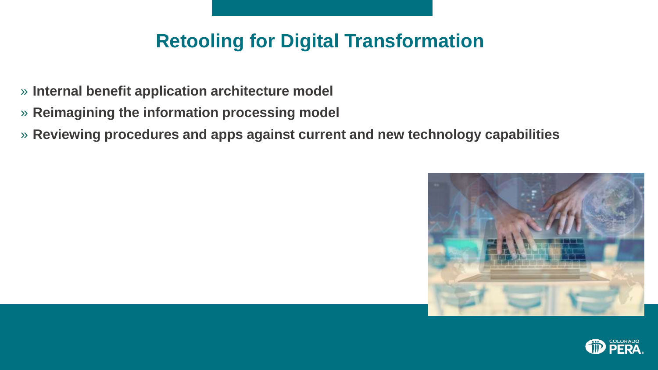### **Retooling for Digital Transformation**

- » **Internal benefit application architecture model**
- » **Reimagining the information processing model**
- » **Reviewing procedures and apps against current and new technology capabilities**